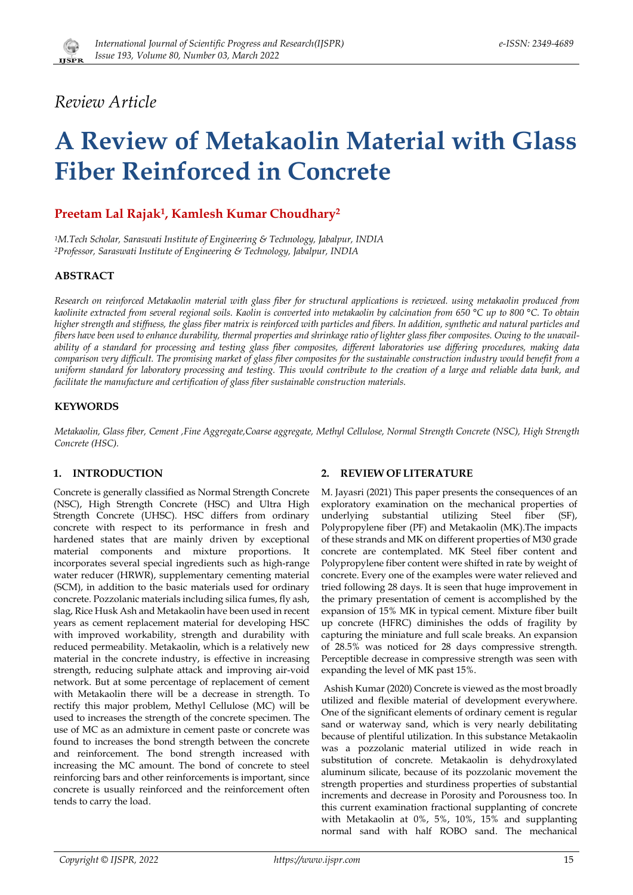

# *Review Article*

# **A Review of Metakaolin Material with Glass Fiber Reinforced in Concrete**

# **Preetam Lal Rajak1, Kamlesh Kumar Choudhary2**

*1M.Tech Scholar, Saraswati Institute of Engineering & Technology, Jabalpur, INDIA 2Professor, Saraswati Institute of Engineering & Technology, Jabalpur, INDIA* 

# **ABSTRACT**

*Research on reinforced Metakaolin material with glass fiber for structural applications is reviewed. using metakaolin produced from kaolinite extracted from several regional soils. Kaolin is converted into metakaolin by calcination from 650 °C up to 800 °C. To obtain higher strength and stiffness, the glass fiber matrix is reinforced with particles and fibers. In addition, synthetic and natural particles and fibers have been used to enhance durability, thermal properties and shrinkage ratio of lighter glass fiber composites. Owing to the unavailability of a standard for processing and testing glass fiber composites, different laboratories use differing procedures, making data comparison very difficult. The promising market of glass fiber composites for the sustainable construction industry would benefit from a uniform standard for laboratory processing and testing. This would contribute to the creation of a large and reliable data bank, and facilitate the manufacture and certification of glass fiber sustainable construction materials.*

# **KEYWORDS**

*Metakaolin, Glass fiber, Cement ,Fine Aggregate,Coarse aggregate, Methyl Cellulose, Normal Strength Concrete (NSC), High Strength Concrete (HSC).* 

# **1. INTRODUCTION**

Concrete is generally classified as Normal Strength Concrete (NSC), High Strength Concrete (HSC) and Ultra High Strength Concrete (UHSC). HSC differs from ordinary concrete with respect to its performance in fresh and hardened states that are mainly driven by exceptional material components and mixture proportions. It incorporates several special ingredients such as high-range water reducer (HRWR), supplementary cementing material (SCM), in addition to the basic materials used for ordinary concrete. Pozzolanic materials including silica fumes, fly ash, slag, Rice Husk Ash and Metakaolin have been used in recent years as cement replacement material for developing HSC with improved workability, strength and durability with reduced permeability. Metakaolin, which is a relatively new material in the concrete industry, is effective in increasing strength, reducing sulphate attack and improving air-void network. But at some percentage of replacement of cement with Metakaolin there will be a decrease in strength. To rectify this major problem, Methyl Cellulose (MC) will be used to increases the strength of the concrete specimen. The use of MC as an admixture in cement paste or concrete was found to increases the bond strength between the concrete and reinforcement. The bond strength increased with increasing the MC amount. The bond of concrete to steel reinforcing bars and other reinforcements is important, since concrete is usually reinforced and the reinforcement often tends to carry the load.

# **2. REVIEW OF LITERATURE**

M. Jayasri (2021) This paper presents the consequences of an exploratory examination on the mechanical properties of underlying substantial utilizing Steel fiber (SF), Polypropylene fiber (PF) and Metakaolin (MK).The impacts of these strands and MK on different properties of M30 grade concrete are contemplated. MK Steel fiber content and Polypropylene fiber content were shifted in rate by weight of concrete. Every one of the examples were water relieved and tried following 28 days. It is seen that huge improvement in the primary presentation of cement is accomplished by the expansion of 15% MK in typical cement. Mixture fiber built up concrete (HFRC) diminishes the odds of fragility by capturing the miniature and full scale breaks. An expansion of 28.5% was noticed for 28 days compressive strength. Perceptible decrease in compressive strength was seen with expanding the level of MK past 15%.

 Ashish Kumar (2020) Concrete is viewed as the most broadly utilized and flexible material of development everywhere. One of the significant elements of ordinary cement is regular sand or waterway sand, which is very nearly debilitating because of plentiful utilization. In this substance Metakaolin was a pozzolanic material utilized in wide reach in substitution of concrete. Metakaolin is dehydroxylated aluminum silicate, because of its pozzolanic movement the strength properties and sturdiness properties of substantial increments and decrease in Porosity and Porousness too. In this current examination fractional supplanting of concrete with Metakaolin at 0%, 5%, 10%, 15% and supplanting normal sand with half ROBO sand. The mechanical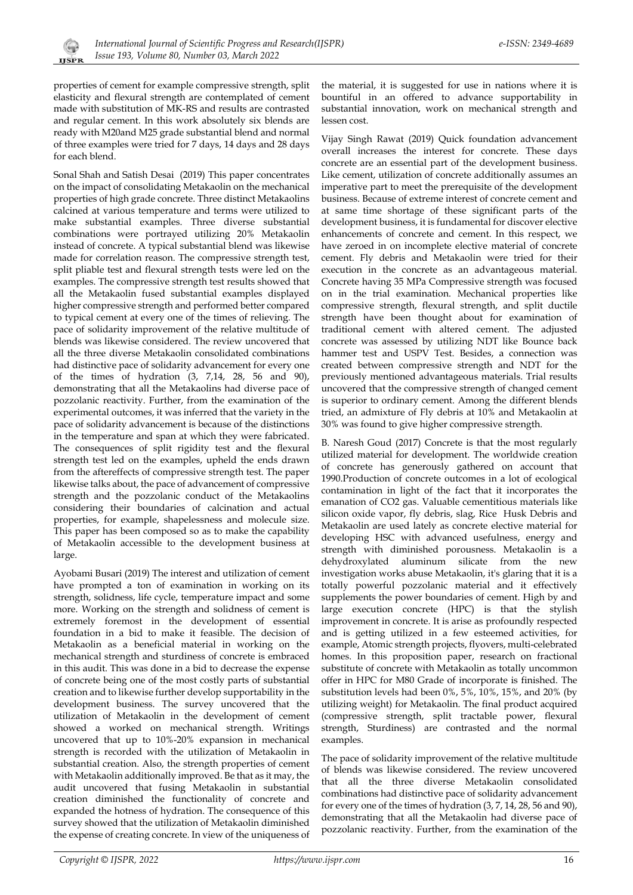

properties of cement for example compressive strength, split elasticity and flexural strength are contemplated of cement made with substitution of MK-RS and results are contrasted and regular cement. In this work absolutely six blends are ready with M20and M25 grade substantial blend and normal of three examples were tried for 7 days, 14 days and 28 days for each blend.

Sonal Shah and Satish Desai (2019) This paper concentrates on the impact of consolidating Metakaolin on the mechanical properties of high grade concrete. Three distinct Metakaolins calcined at various temperature and terms were utilized to make substantial examples. Three diverse substantial combinations were portrayed utilizing 20% Metakaolin instead of concrete. A typical substantial blend was likewise made for correlation reason. The compressive strength test, split pliable test and flexural strength tests were led on the examples. The compressive strength test results showed that all the Metakaolin fused substantial examples displayed higher compressive strength and performed better compared to typical cement at every one of the times of relieving. The pace of solidarity improvement of the relative multitude of blends was likewise considered. The review uncovered that all the three diverse Metakaolin consolidated combinations had distinctive pace of solidarity advancement for every one of the times of hydration (3, 7,14, 28, 56 and 90), demonstrating that all the Metakaolins had diverse pace of pozzolanic reactivity. Further, from the examination of the experimental outcomes, it was inferred that the variety in the pace of solidarity advancement is because of the distinctions in the temperature and span at which they were fabricated. The consequences of split rigidity test and the flexural strength test led on the examples, upheld the ends drawn from the aftereffects of compressive strength test. The paper likewise talks about, the pace of advancement of compressive strength and the pozzolanic conduct of the Metakaolins considering their boundaries of calcination and actual properties, for example, shapelessness and molecule size. This paper has been composed so as to make the capability of Metakaolin accessible to the development business at large.

Ayobami Busari (2019) The interest and utilization of cement have prompted a ton of examination in working on its strength, solidness, life cycle, temperature impact and some more. Working on the strength and solidness of cement is extremely foremost in the development of essential foundation in a bid to make it feasible. The decision of Metakaolin as a beneficial material in working on the mechanical strength and sturdiness of concrete is embraced in this audit. This was done in a bid to decrease the expense of concrete being one of the most costly parts of substantial creation and to likewise further develop supportability in the development business. The survey uncovered that the utilization of Metakaolin in the development of cement showed a worked on mechanical strength. Writings uncovered that up to 10%-20% expansion in mechanical strength is recorded with the utilization of Metakaolin in substantial creation. Also, the strength properties of cement with Metakaolin additionally improved. Be that as it may, the audit uncovered that fusing Metakaolin in substantial creation diminished the functionality of concrete and expanded the hotness of hydration. The consequence of this survey showed that the utilization of Metakaolin diminished the expense of creating concrete. In view of the uniqueness of

the material, it is suggested for use in nations where it is bountiful in an offered to advance supportability in substantial innovation, work on mechanical strength and lessen cost.

Vijay Singh Rawat (2019) Quick foundation advancement overall increases the interest for concrete. These days concrete are an essential part of the development business. Like cement, utilization of concrete additionally assumes an imperative part to meet the prerequisite of the development business. Because of extreme interest of concrete cement and at same time shortage of these significant parts of the development business, it is fundamental for discover elective enhancements of concrete and cement. In this respect, we have zeroed in on incomplete elective material of concrete cement. Fly debris and Metakaolin were tried for their execution in the concrete as an advantageous material. Concrete having 35 MPa Compressive strength was focused on in the trial examination. Mechanical properties like compressive strength, flexural strength, and split ductile strength have been thought about for examination of traditional cement with altered cement. The adjusted concrete was assessed by utilizing NDT like Bounce back hammer test and USPV Test. Besides, a connection was created between compressive strength and NDT for the previously mentioned advantageous materials. Trial results uncovered that the compressive strength of changed cement is superior to ordinary cement. Among the different blends tried, an admixture of Fly debris at 10% and Metakaolin at 30% was found to give higher compressive strength.

B. Naresh Goud (2017) Concrete is that the most regularly utilized material for development. The worldwide creation of concrete has generously gathered on account that 1990.Production of concrete outcomes in a lot of ecological contamination in light of the fact that it incorporates the emanation of CO2 gas. Valuable cementitious materials like silicon oxide vapor, fly debris, slag, Rice Husk Debris and Metakaolin are used lately as concrete elective material for developing HSC with advanced usefulness, energy and strength with diminished porousness. Metakaolin is a dehydroxylated aluminum silicate from the new investigation works abuse Metakaolin, it's glaring that it is a totally powerful pozzolanic material and it effectively supplements the power boundaries of cement. High by and large execution concrete (HPC) is that the stylish improvement in concrete. It is arise as profoundly respected and is getting utilized in a few esteemed activities, for example, Atomic strength projects, flyovers, multi-celebrated homes. In this proposition paper, research on fractional substitute of concrete with Metakaolin as totally uncommon offer in HPC for M80 Grade of incorporate is finished. The substitution levels had been 0%, 5%, 10%, 15%, and 20% (by utilizing weight) for Metakaolin. The final product acquired (compressive strength, split tractable power, flexural strength, Sturdiness) are contrasted and the normal examples.

The pace of solidarity improvement of the relative multitude of blends was likewise considered. The review uncovered that all the three diverse Metakaolin consolidated combinations had distinctive pace of solidarity advancement for every one of the times of hydration (3, 7, 14, 28, 56 and 90), demonstrating that all the Metakaolin had diverse pace of pozzolanic reactivity. Further, from the examination of the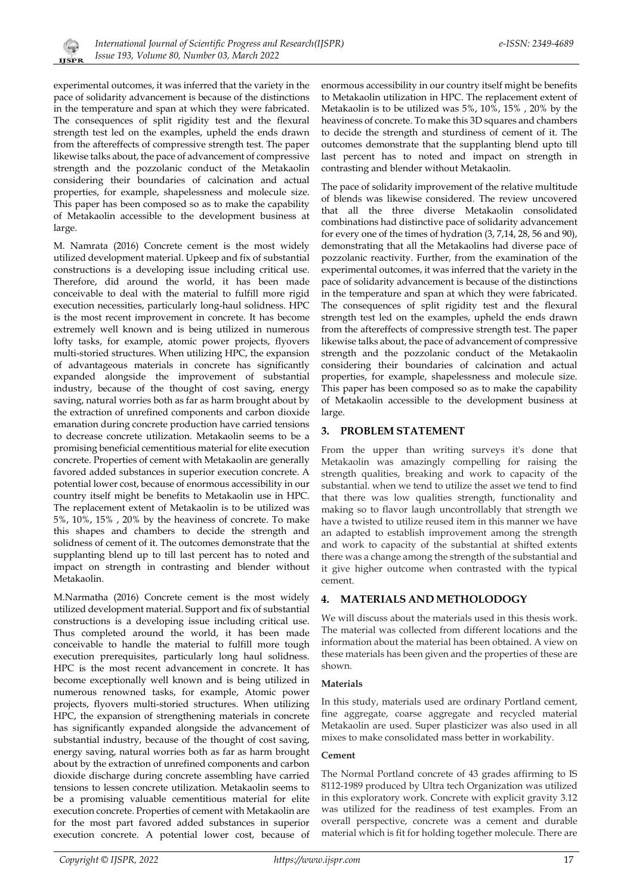

experimental outcomes, it was inferred that the variety in the pace of solidarity advancement is because of the distinctions in the temperature and span at which they were fabricated. The consequences of split rigidity test and the flexural strength test led on the examples, upheld the ends drawn from the aftereffects of compressive strength test. The paper likewise talks about, the pace of advancement of compressive strength and the pozzolanic conduct of the Metakaolin considering their boundaries of calcination and actual properties, for example, shapelessness and molecule size. This paper has been composed so as to make the capability of Metakaolin accessible to the development business at large.

M. Namrata (2016) Concrete cement is the most widely utilized development material. Upkeep and fix of substantial constructions is a developing issue including critical use. Therefore, did around the world, it has been made conceivable to deal with the material to fulfill more rigid execution necessities, particularly long-haul solidness. HPC is the most recent improvement in concrete. It has become extremely well known and is being utilized in numerous lofty tasks, for example, atomic power projects, flyovers multi-storied structures. When utilizing HPC, the expansion of advantageous materials in concrete has significantly expanded alongside the improvement of substantial industry, because of the thought of cost saving, energy saving, natural worries both as far as harm brought about by the extraction of unrefined components and carbon dioxide emanation during concrete production have carried tensions to decrease concrete utilization. Metakaolin seems to be a promising beneficial cementitious material for elite execution concrete. Properties of cement with Metakaolin are generally favored added substances in superior execution concrete. A potential lower cost, because of enormous accessibility in our country itself might be benefits to Metakaolin use in HPC. The replacement extent of Metakaolin is to be utilized was 5%, 10%, 15% , 20% by the heaviness of concrete. To make this shapes and chambers to decide the strength and solidness of cement of it. The outcomes demonstrate that the supplanting blend up to till last percent has to noted and impact on strength in contrasting and blender without Metakaolin.

M.Narmatha (2016) Concrete cement is the most widely utilized development material. Support and fix of substantial constructions is a developing issue including critical use. Thus completed around the world, it has been made conceivable to handle the material to fulfill more tough execution prerequisites, particularly long haul solidness. HPC is the most recent advancement in concrete. It has become exceptionally well known and is being utilized in numerous renowned tasks, for example, Atomic power projects, flyovers multi-storied structures. When utilizing HPC, the expansion of strengthening materials in concrete has significantly expanded alongside the advancement of substantial industry, because of the thought of cost saving, energy saving, natural worries both as far as harm brought about by the extraction of unrefined components and carbon dioxide discharge during concrete assembling have carried tensions to lessen concrete utilization. Metakaolin seems to be a promising valuable cementitious material for elite execution concrete. Properties of cement with Metakaolin are for the most part favored added substances in superior execution concrete. A potential lower cost, because of

enormous accessibility in our country itself might be benefits to Metakaolin utilization in HPC. The replacement extent of Metakaolin is to be utilized was 5%, 10%, 15% , 20% by the heaviness of concrete. To make this 3D squares and chambers to decide the strength and sturdiness of cement of it. The outcomes demonstrate that the supplanting blend upto till last percent has to noted and impact on strength in contrasting and blender without Metakaolin.

The pace of solidarity improvement of the relative multitude of blends was likewise considered. The review uncovered that all the three diverse Metakaolin consolidated combinations had distinctive pace of solidarity advancement for every one of the times of hydration (3, 7,14, 28, 56 and 90), demonstrating that all the Metakaolins had diverse pace of pozzolanic reactivity. Further, from the examination of the experimental outcomes, it was inferred that the variety in the pace of solidarity advancement is because of the distinctions in the temperature and span at which they were fabricated. The consequences of split rigidity test and the flexural strength test led on the examples, upheld the ends drawn from the aftereffects of compressive strength test. The paper likewise talks about, the pace of advancement of compressive strength and the pozzolanic conduct of the Metakaolin considering their boundaries of calcination and actual properties, for example, shapelessness and molecule size. This paper has been composed so as to make the capability of Metakaolin accessible to the development business at large.

# **3. PROBLEM STATEMENT**

From the upper than writing surveys it's done that Metakaolin was amazingly compelling for raising the strength qualities, breaking and work to capacity of the substantial. when we tend to utilize the asset we tend to find that there was low qualities strength, functionality and making so to flavor laugh uncontrollably that strength we have a twisted to utilize reused item in this manner we have an adapted to establish improvement among the strength and work to capacity of the substantial at shifted extents there was a change among the strength of the substantial and it give higher outcome when contrasted with the typical cement.

# **4. MATERIALS AND METHOLODOGY**

We will discuss about the materials used in this thesis work. The material was collected from different locations and the information about the material has been obtained. A view on these materials has been given and the properties of these are shown.

# **Materials**

In this study, materials used are ordinary Portland cement, fine aggregate, coarse aggregate and recycled material Metakaolin are used. Super plasticizer was also used in all mixes to make consolidated mass better in workability.

# **Cement**

The Normal Portland concrete of 43 grades affirming to IS 8112-1989 produced by Ultra tech Organization was utilized in this exploratory work. Concrete with explicit gravity 3.12 was utilized for the readiness of test examples. From an overall perspective, concrete was a cement and durable material which is fit for holding together molecule. There are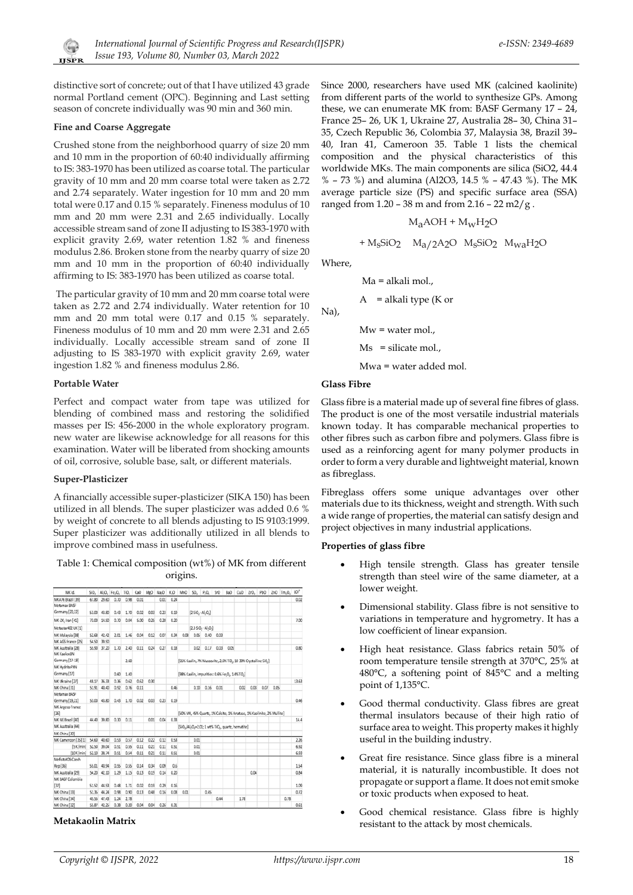

distinctive sort of concrete; out of that I have utilized 43 grade normal Portland cement (OPC). Beginning and Last setting season of concrete individually was 90 min and 360 min.

#### **Fine and Coarse Aggregate**

Crushed stone from the neighborhood quarry of size 20 mm and 10 mm in the proportion of 60:40 individually affirming to IS: 383-1970 has been utilized as coarse total. The particular gravity of 10 mm and 20 mm coarse total were taken as 2.72 and 2.74 separately. Water ingestion for 10 mm and 20 mm total were 0.17 and 0.15 % separately. Fineness modulus of 10 mm and 20 mm were 2.31 and 2.65 individually. Locally accessible stream sand of zone II adjusting to IS 383-1970 with explicit gravity 2.69, water retention 1.82 % and fineness modulus 2.86. Broken stone from the nearby quarry of size 20 mm and 10 mm in the proportion of 60:40 individually affirming to IS: 383-1970 has been utilized as coarse total.

 The particular gravity of 10 mm and 20 mm coarse total were taken as 2.72 and 2.74 individually. Water retention for 10 mm and 20 mm total were 0.17 and 0.15 % separately. Fineness modulus of 10 mm and 20 mm were 2.31 and 2.65 individually. Locally accessible stream sand of zone II adjusting to IS 383-1970 with explicit gravity 2.69, water ingestion 1.82 % and fineness modulus 2.86.

#### **Portable Water**

Perfect and compact water from tape was utilized for blending of combined mass and restoring the solidified masses per IS: 456-2000 in the whole exploratory program. new water are likewise acknowledge for all reasons for this examination. Water will be liberated from shocking amounts of oil, corrosive, soluble base, salt, or different materials.

#### **Super-Plasticizer**

A financially accessible super-plasticizer (SIKA 150) has been utilized in all blends. The super plasticizer was added 0.6 % by weight of concrete to all blends adjusting to IS 9103:1999. Super plasticizer was additionally utilized in all blends to improve combined mass in usefulness.

#### Table 1: Chemical composition (wt%) of MK from different origins.

| MK Id.              | SiO.  |       | Al.O. Fe.O. | TiO. | CaO  | MeO  | Na.O | K.O  | MnO                                                                                                 | SO <sub>1</sub>    | $P_1O_n$ | SrO  | BaO  | CuO  | 200. | PbO  |      | ZnO Tm.O. | rou <sub>s</sub> |
|---------------------|-------|-------|-------------|------|------|------|------|------|-----------------------------------------------------------------------------------------------------|--------------------|----------|------|------|------|------|------|------|-----------|------------------|
| MKA76 Brazil [39]   | 67.80 | 29.60 | 0.70        | 0.98 | 0.01 |      | 0.01 | 0.24 |                                                                                                     |                    |          |      |      |      |      |      |      |           | 0.02             |
| Metamax BASF        |       |       |             |      |      |      |      |      |                                                                                                     |                    |          |      |      |      |      |      |      |           |                  |
| Germany [20,22]     | 53.00 | 43.80 | 0.43        | 1.70 | 0.02 | 0.03 | 0.23 | 0.19 |                                                                                                     | [25i0, A1, 0]      |          |      |      |      |      |      |      |           |                  |
| MK-ZK, Iran [41]    | 73.00 | 14.50 | 0.70        | 0.04 | 5.00 | 0.25 | 0.20 | 0.20 |                                                                                                     |                    |          |      |      |      |      |      |      |           | 7.00             |
| Metastar402 UK [1]  |       |       |             |      |      |      |      |      |                                                                                                     | $[23SiO, AJ_1O_1]$ |          |      |      |      |      |      |      |           |                  |
| MK Malaysia [38]    | 52.68 | 42.42 | 201         | 1.46 | 0.04 | 0.12 | 0.07 | 0.34 | 0.08                                                                                                | 0.05               | 0.40     | 0.03 |      |      |      |      |      |           |                  |
| MK AGS France [25]  | 54.50 | 39.50 |             |      |      |      |      |      |                                                                                                     |                    |          |      |      |      |      |      |      |           |                  |
| MK Australia [28]   | 55.90 | 37.20 | 1.70        | 2.40 | 0.11 | 0.24 | 0.27 | 0.18 |                                                                                                     | 0.02               | 0.17     | 0.03 | 0.05 |      |      |      |      |           | 0.80             |
| MK KaolexBN         |       |       |             |      |      |      |      |      |                                                                                                     |                    |          |      |      |      |      |      |      |           |                  |
| Germany [17-18]     |       |       |             | 2.60 |      |      |      |      | [65% Kaolin, 7% Muscovite, 2.6% TiO., 10-30% Crystalline SiO.]                                      |                    |          |      |      |      |      |      |      |           |                  |
| MK HydritePXN       |       |       |             |      |      |      |      |      |                                                                                                     |                    |          |      |      |      |      |      |      |           |                  |
| Germany [17]        |       |       | 0.60        | 1.40 |      |      |      |      | [98% Kaolin, impurities: 0.6% Fe, 0, 1.4%Ti0,]                                                      |                    |          |      |      |      |      |      |      |           |                  |
| MK Ukraine [27]     | 48.17 | 36.33 | 0.36        | 0.62 | 0.62 | 0.30 |      |      |                                                                                                     |                    |          |      |      |      |      |      |      |           | 13.63            |
| MK China [31]       | 51.91 | 40.40 | 0.92        | 0.76 | 0.11 |      |      | 0.46 |                                                                                                     | 0.10               | 0.16     | 0.01 |      | 0.02 | 0.03 | 0.07 | 0.05 |           |                  |
| Metamax BASE        |       |       |             |      |      |      |      |      |                                                                                                     |                    |          |      |      |      |      |      |      |           |                  |
| Germany [19,21]     | 53.00 | 43.80 | 0.43        | 1.70 | 0.02 | 0.03 | 0.23 | 0.19 |                                                                                                     |                    |          |      |      |      |      |      |      |           | 0.46             |
| MK Argeco France    |       |       |             |      |      |      |      |      |                                                                                                     |                    |          |      |      |      |      |      |      |           |                  |
| [26]                |       |       |             |      |      |      |      |      | [SO% MK, 45% Quartz, 1% Calcite, 1% Anatase, 1% Kaolinite, 2% Mullite]                              |                    |          |      |      |      |      |      |      |           |                  |
| MK NE Brazil [40]   | 44.40 | 39.80 | 0.30        | 0.11 |      | 0.01 | 0.04 | 0.33 |                                                                                                     |                    |          |      |      |      |      |      |      |           | 14.4             |
| MK Australia [44]   |       |       |             |      |      |      |      |      | [SiO <sub>1</sub> /Al <sub>2</sub> O <sub>1</sub> =2.01; 1 wt% TiO <sub>2</sub> , quartz, hematite] |                    |          |      |      |      |      |      |      |           |                  |
| MK China [30]       |       |       |             |      |      |      |      |      |                                                                                                     |                    |          |      |      |      |      |      |      |           |                  |
| MK Cameroon [35][1] | 54.60 | 40.60 | 0.53        | 0.57 | 0.12 | 0.22 | 0.12 | 0.53 |                                                                                                     | 0.01               |          |      |      |      |      |      |      |           | 2.26             |
| [5K/min]            | 52.50 | 39.04 | 0.51        | 0.55 | 0.11 | 0.21 | 0.11 | 0.51 |                                                                                                     | 0.01               |          |      |      |      |      |      |      |           | 6.92             |
| [10K/min]           | 52.10 | 38.74 | 0.51        | 0.54 | 0.11 | 0.21 | 0.11 | 0.51 |                                                                                                     | 0.01               |          |      |      |      |      |      |      |           | 6.93             |
| MefistoKOS Czech    |       |       |             |      |      |      |      |      |                                                                                                     |                    |          |      |      |      |      |      |      |           |                  |
| Rep [36]            | 55.01 | 40.94 | 0.55        | 0.55 | 0.14 | 0.34 | 0.09 | 0.6  |                                                                                                     |                    |          |      |      |      |      |      |      |           | 1.54             |
| MK Australia [29]   | 54.20 | 42.10 | 1.29        | 1.15 | 0.13 | 0.19 | 0.14 | 0.20 |                                                                                                     |                    |          |      |      |      | 0.04 |      |      |           | 0.84             |
| MK BASF Colombia    |       |       |             |      |      |      |      |      |                                                                                                     |                    |          |      |      |      |      |      |      |           |                  |
| $[37]$              | 51.52 | 44.53 | 0.48        | 1.71 | 0.02 | 0.19 | 0.29 | 0.16 |                                                                                                     |                    |          |      |      |      |      |      |      |           | 1.09             |
| MK China [33]       | 51.35 | 44.24 | 0.98        | 0.90 | 0.13 | 0.48 | 0.16 | 0.08 | 0.01                                                                                                |                    | 0.45     |      |      |      |      |      |      |           | 0.72             |
| MK China [34]       | 45.55 | 47.43 | 1.24        | 2.78 |      |      |      |      |                                                                                                     |                    |          | 0.44 |      | 1.78 |      |      |      | 0.78      |                  |
| MK China [32]       | 55.87 | 42.25 | 0.38        | 0.20 | 0.04 | 0.04 | 0.26 | 0.31 |                                                                                                     |                    |          |      |      |      |      |      |      |           | 0.61             |

#### **Metakaolin Matrix**

Since 2000, researchers have used MK (calcined kaolinite) from different parts of the world to synthesize GPs. Among these, we can enumerate MK from: BASF Germany 17 – 24, France 25– 26, UK 1, Ukraine 27, Australia 28– 30, China 31– 35, Czech Republic 36, Colombia 37, Malaysia 38, Brazil 39– 40, Iran 41, Cameroon 35. Table 1 lists the chemical composition and the physical characteristics of this worldwide MKs. The main components are silica (SiO2, 44.4 % – 73 %) and alumina (Al2O3, 14.5 % – 47.43 %). The MK average particle size (PS) and specific surface area (SSA) ranged from  $1.20 - 38$  m and from  $2.16 - 22$  m $2/g$ .

$$
\rm M_{a}\rm{AOH} + \rm M_{W}\rm H_{2}O
$$

$$
+ M_S SiO_2 \quad M_a / 2A_2O \quad M_S SiO_2 \quad M_{wa} H_2O
$$

Where,

Na),

$$
Ma = alkali mol.
$$
,

A = alkali type (K or

 $Mw = water$  mol.,

 $Ms = silicate mol.,$ 

Mwa = water added mol.

#### **Glass Fibre**

Glass fibre is a material made up of several fine fibres of glass. The product is one of the most versatile industrial materials known today. It has comparable mechanical properties to other fibres such as carbon fibre and polymers. Glass fibre is used as a reinforcing agent for many polymer products in order to form a very durable and lightweight material, known as fibreglass.

Fibreglass offers some unique advantages over other materials due to its thickness, weight and strength. With such a wide range of properties, the material can satisfy design and project objectives in many industrial applications.

#### **Properties of glass fibre**

- High tensile strength. Glass has greater tensile strength than steel wire of the same diameter, at a lower weight.
- Dimensional stability. Glass fibre is not sensitive to variations in temperature and hygrometry. It has a low coefficient of linear expansion.
- High heat resistance. Glass fabrics retain 50% of room temperature tensile strength at 370°C, 25% at 480°C, a softening point of 845°C and a melting point of 1,135°C.
- Good thermal conductivity. Glass fibres are great thermal insulators because of their high ratio of surface area to weight. This property makes it highly useful in the building industry.
- Great fire resistance. Since glass fibre is a mineral material, it is naturally incombustible. It does not propagate or support a flame. It does not emit smoke or toxic products when exposed to heat.
- Good chemical resistance. Glass fibre is highly resistant to the attack by most chemicals.